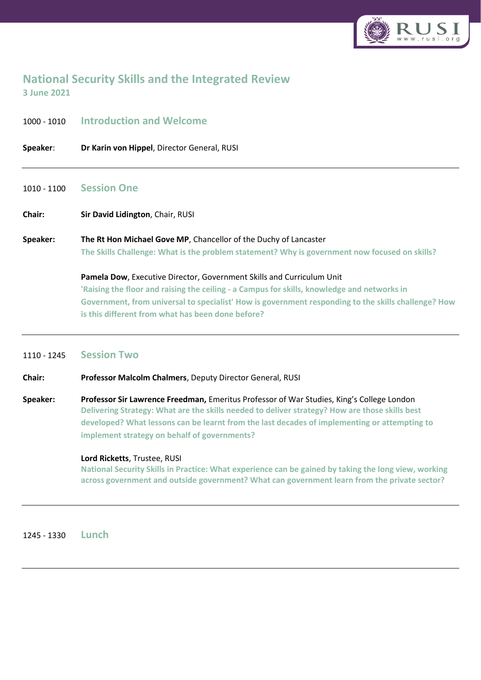

# **National Security Skills and the Integrated Review 3 June 2021**

| <b>Introduction and Welcome</b>                                                                                                                                                                                                                                                                                                  |
|----------------------------------------------------------------------------------------------------------------------------------------------------------------------------------------------------------------------------------------------------------------------------------------------------------------------------------|
| Dr Karin von Hippel, Director General, RUSI                                                                                                                                                                                                                                                                                      |
| <b>Session One</b>                                                                                                                                                                                                                                                                                                               |
| Sir David Lidington, Chair, RUSI                                                                                                                                                                                                                                                                                                 |
| The Rt Hon Michael Gove MP, Chancellor of the Duchy of Lancaster<br>The Skills Challenge: What is the problem statement? Why is government now focused on skills?                                                                                                                                                                |
| Pamela Dow, Executive Director, Government Skills and Curriculum Unit<br>'Raising the floor and raising the ceiling - a Campus for skills, knowledge and networks in<br>Government, from universal to specialist' How is government responding to the skills challenge? How<br>is this different from what has been done before? |
|                                                                                                                                                                                                                                                                                                                                  |

#### 1110 - 1245 **Session Two**

**Chair: Professor Malcolm Chalmers**, Deputy Director General, RUSI

**Speaker: Professor Sir Lawrence Freedman,** Emeritus Professor of War Studies, King's College London **Delivering Strategy: What are the skills needed to deliver strategy? How are those skills best developed? What lessons can be learnt from the last decades of implementing or attempting to implement strategy on behalf of governments?**

#### **Lord Ricketts**, Trustee, RUSI

**National Security Skills in Practice: What experience can be gained by taking the long view, working across government and outside government? What can government learn from the private sector?**

1245 - 1330 **Lunch**